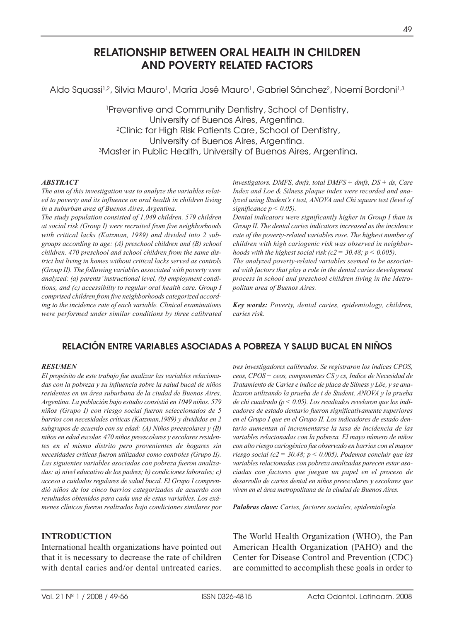# **RELATIONSHIP BETWEEN ORAL HEALTH IN CHILDREN AND POVERTY RELATED FACTORS**

Aldo Squassi<sup>1,2</sup>, Silvia Mauro<sup>1</sup>, María José Mauro<sup>1</sup>, Gabriel Sánchez<sup>2</sup>, Noemí Bordoni<sup>1,3</sup>

1Preventive and Community Dentistry, School of Dentistry, University of Buenos Aires, Argentina. 2Clinic for High Risk Patients Care, School of Dentistry, University of Buenos Aires, Argentina. 3Master in Public Health, University of Buenos Aires, Argentina.

#### *ABSTRACT*

*The aim of this investigation was to analyze the variables related to poverty and its influence on oral health in children living in a suburban area of Buenos Aires, Argentina.*

*The study population consisted of 1,049 children. 579 children at social risk (Group I) were recruited from five neighborhoods with critical lacks (Katzman, 1989) and divided into 2 subgroups according to age: (A) preschool children and (B) school children. 470 preschool and school children from the same district but living in homes without critical lacks served as controls (Group II). The following variables associated with poverty were analyzed: (a) parents' instructional level, (b) employment conditions, and (c) accessibilty to regular oral health care. Group I comprised children from five neighborhoods categorized according to the incidence rate of each variable. Clinical examinations were performed under similar conditions by three calibrated* *investigators. DMFS, dmfs, total DMFS + dmfs, DS + ds, Care Index and Loe & Silness plaque index were recorded and analyzed using Student's t test, ANOVA and Chi square test (level of*  $significance p \leq 0.05$ ).

*Dental indicators were significantly higher in Group I than in Group II. The dental caries indicators increased as the incidence rate of the poverty-related variables rose. The highest number of children with high cariogenic risk was observed in neighborhoods with the highest social risk (c2 = 30.48; p < 0.005).* 

*The analyzed poverty-related variables seemed to be associated with factors that play a role in the dental caries development process in school and preschool children living in the Metropolitan area of Buenos Aires.*

*Key words: Poverty, dental caries, epidemiology, children, caries risk.* 

# **RELACIÓN ENTRE VARIABLES ASOCIADAS A POBREZA Y SALUD BUCAL EN NIÑOS**

#### *RESUMEN*

*El propósito de este trabajo fue analizar las variables relacionadas con la pobreza y su influencia sobre la salud bucal de niños residentes en un área suburbana de la ciudad de Buenos Aires, Argentina. La población bajo estudio consistió en 1049 niños. 579 niños (Grupo I) con riesgo social fueron seleccionados de 5 barrios con necesidades críticas (Katzman,1989) y divididos en 2 subgrupos de acuerdo con su edad: (A) Niños preescolares y (B) niños en edad escolar. 470 niños preescolares y escolares residentes en el mismo distrito pero provenientes de hogares sin necesidades críticas fueron utilizados como controles (Grupo II). Las siguientes variables asociadas con pobreza fueron analizadas: a) nivel educativo de los padres; b) condiciones laborales; c) acceso a cuidados regulares de salud bucal. El Grupo I comprendió niños de los cinco barrios categorizados de acuerdo con resultados obtenidos para cada una de estas variables. Los exámenes clínicos fueron realizados bajo condiciones similares por*

#### **INTRODUCTION**

International health organizations have pointed out that it is necessary to decrease the rate of children with dental caries and/or dental untreated caries. *tres investigadores calibrados. Se registraron los índices CPOS, ceos, CPOS + ceos, componentes CS y cs, Indice de Necesidad de Tratamiento de Caries e índice de placa de Silness y Löe, y se analizaron utilizando la prueba de t de Student, ANOVA y la prueba de chi cuadrado (p < 0.05). Los resultados revelaron que los indicadores de estado dentario fueron significativamente superiores en el Grupo I que en el Grupo II. Los indicadores de estado dentario aumentan al incrementarse la tasa de incidencia de las variables relacionadas con la pobreza. El mayo número de niños con alto riesgo cariogénico fue observado en barrios con el mayor riesgo social (c2 = 30.48; p < 0.005). Podemos concluir que las variables relacionadas con pobreza analizadas parecen estar asociadas con factores que juegan un papel en el proceso de desarrollo de caries dental en niños preescolares y escolares que viven en el área metropolitana de la ciudad de Buenos Aires.*

*Palabras clave: Caries, factores sociales, epidemiología.*

The World Health Organization (WHO), the Pan American Health Organization (PAHO) and the Center for Disease Control and Prevention (CDC) are committed to accomplish these goals in order to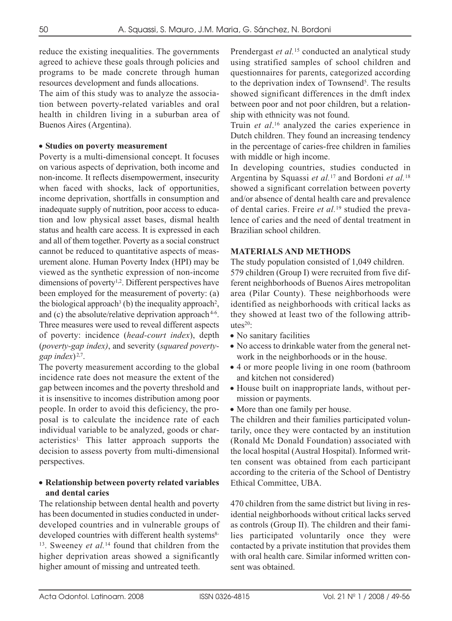reduce the existing inequalities. The governments agreed to achieve these goals through policies and programs to be made concrete through human resources development and funds allocations.

The aim of this study was to analyze the association between poverty-related variables and oral health in children living in a suburban area of Buenos Aires (Argentina).

#### • **Studies on poverty measurement**

Poverty is a multi-dimensional concept. It focuses on various aspects of deprivation, both income and non-income. It reflects disempowerment, insecurity when faced with shocks, lack of opportunities, income deprivation, shortfalls in consumption and inadequate supply of nutrition, poor access to education and low physical asset bases, dismal health status and health care access. It is expressed in each and all of them together. Poverty as a social construct cannot be reduced to quantitative aspects of measurement alone. Human Poverty Index (HPI) may be viewed as the synthetic expression of non-income dimensions of poverty<sup>1,2</sup>. Different perspectives have been employed for the measurement of poverty: (a) the biological approach<sup>3</sup> (b) the inequality approach<sup>2</sup>, and (c) the absolute/relative deprivation approach  $4-6$ . Three measures were used to reveal different aspects of poverty: incidence (*head-court index*), depth (*poverty-gap index)*, and severity (*squared povertygap index*) 2,7.

The poverty measurement according to the global incidence rate does not measure the extent of the gap between incomes and the poverty threshold and it is insensitive to incomes distribution among poor people. In order to avoid this deficiency, the proposal is to calculate the incidence rate of each individual variable to be analyzed, goods or characteristics1. This latter approach supports the decision to assess poverty from multi-dimensional perspectives.

## • **Relationship between poverty related variables and dental caries**

The relationship between dental health and poverty has been documented in studies conducted in underdeveloped countries and in vulnerable groups of developed countries with different health systems<sup>8-</sup> <sup>13</sup>. Sweeney *et al.*<sup>14</sup> found that children from the higher deprivation areas showed a significantly higher amount of missing and untreated teeth.

Prendergast *et al.*<sup>15</sup> conducted an analytical study using stratified samples of school children and questionnaires for parents, categorized according to the deprivation index of Townsend<sup>5</sup>. The results showed significant differences in the dmft index between poor and not poor children, but a relationship with ethnicity was not found.

Truin *et al*. <sup>16</sup> analyzed the caries experience in Dutch children. They found an increasing tendency in the percentage of caries-free children in families with middle or high income.

In developing countries, studies conducted in Argentina by Squassi *et al.*<sup>17</sup> and Bordoni *et al.*<sup>18</sup> showed a significant correlation between poverty and/or absence of dental health care and prevalence of dental caries. Freire *et al.*<sup>19</sup> studied the prevalence of caries and the need of dental treatment in Brazilian school children.

### **MATERIALS AND METHODS**

The study population consisted of 1,049 children. 579 children (Group I) were recruited from five different neighborhoods of Buenos Aires metropolitan area (Pilar County). These neighborhoods were identified as neighborhoods with critical lacks as they showed at least two of the following attributes $20$ :

- No sanitary facilities
- No access to drinkable water from the general network in the neighborhoods or in the house.
- 4 or more people living in one room (bathroom and kitchen not considered)
- House built on inappropriate lands, without permission or payments.
- More than one family per house.

The children and their families participated voluntarily, once they were contacted by an institution (Ronald Mc Donald Foundation) associated with the local hospital (Austral Hospital). Informed written consent was obtained from each participant according to the criteria of the School of Dentistry Ethical Committee, UBA.

470 children from the same district but living in residential neighborhoods without critical lacks served as controls (Group II). The children and their families participated voluntarily once they were contacted by a private institution that provides them with oral health care. Similar informed written consent was obtained.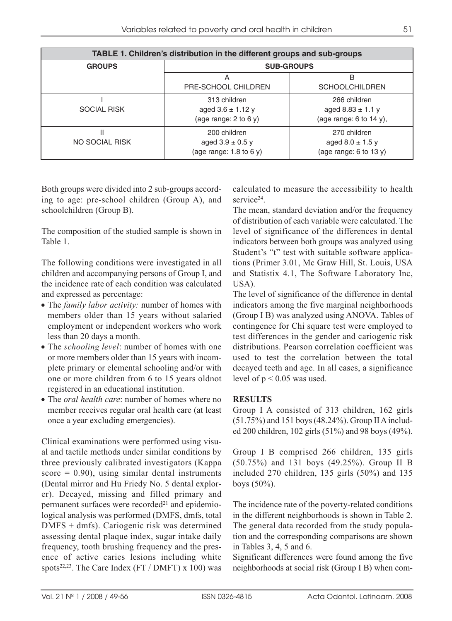| TABLE 1. Children's distribution in the different groups and sub-groups |                                                                     |                                                                  |  |
|-------------------------------------------------------------------------|---------------------------------------------------------------------|------------------------------------------------------------------|--|
| <b>GROUPS</b>                                                           | <b>SUB-GROUPS</b>                                                   |                                                                  |  |
|                                                                         | Α<br>PRE-SCHOOL CHILDREN                                            | в<br><b>SCHOOLCHILDREN</b>                                       |  |
| <b>SOCIAL RISK</b>                                                      | 313 children<br>aged $3.6 \pm 1.12$ y<br>(age range: $2$ to $6$ y)  | 266 children<br>aged $8.83 \pm 1.1$ y<br>(age range: 6 to 14 y), |  |
| NO SOCIAL RISK                                                          | 200 children<br>aged $3.9 \pm 0.5$ y<br>(age range: $1.8$ to $6y$ ) | 270 children<br>aged $8.0 \pm 1.5$ y<br>(age range: $6$ to 13 y) |  |

Both groups were divided into 2 sub-groups according to age: pre-school children (Group A), and schoolchildren (Group B).

The composition of the studied sample is shown in Table 1.

The following conditions were investigated in all children and accompanying persons of Group I, and the incidence rate of each condition was calculated and expressed as percentage:

- The *family labor activity:* number of homes with members older than 15 years without salaried employment or independent workers who work less than 20 days a month.
- The *schooling level*: number of homes with one or more members older than 15 years with incomplete primary or elemental schooling and/or with one or more children from 6 to 15 years oldnot registered in an educational institution.
- The *oral health care*: number of homes where no member receives regular oral health care (at least once a year excluding emergencies).

Clinical examinations were performed using visual and tactile methods under similar conditions by three previously calibrated investigators (Kappa score  $= 0.90$ , using similar dental instruments (Dental mirror and Hu Friedy No. 5 dental explorer). Decayed, missing and filled primary and permanent surfaces were recorded<sup>21</sup> and epidemiological analysis was performed (DMFS, dmfs, total DMFS + dmfs). Cariogenic risk was determined assessing dental plaque index, sugar intake daily frequency, tooth brushing frequency and the presence of active caries lesions including white spots<sup>22,23</sup>. The Care Index (FT / DMFT) x 100) was

calculated to measure the accessibility to health service<sup>24</sup>

The mean, standard deviation and/or the frequency of distribution of each variable were calculated. The level of significance of the differences in dental indicators between both groups was analyzed using Student's "t" test with suitable software applications (Primer 3.01, Mc Graw Hill, St. Louis, USA and Statistix 4.1, The Software Laboratory Inc, USA).

The level of significance of the difference in dental indicators among the five marginal neighborhoods (Group I B) was analyzed using ANOVA. Tables of contingence for Chi square test were employed to test differences in the gender and cariogenic risk distributions. Pearson correlation coefficient was used to test the correlation between the total decayed teeth and age. In all cases, a significance level of  $p < 0.05$  was used.

### **RESULTS**

Group I A consisted of 313 children, 162 girls (51.75%) and 151 boys (48.24%). Group II A included 200 children, 102 girls (51%) and 98 boys (49%).

Group I B comprised 266 children, 135 girls (50.75%) and 131 boys (49.25%). Group II B included 270 children, 135 girls (50%) and 135 boys (50%).

The incidence rate of the poverty-related conditions in the different neighborhoods is shown in Table 2. The general data recorded from the study population and the corresponding comparisons are shown in Tables 3, 4, 5 and 6.

Significant differences were found among the five neighborhoods at social risk (Group I B) when com-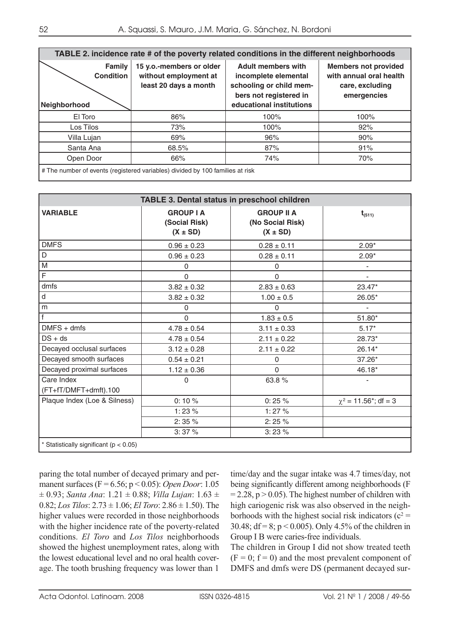| TABLE 2. incidence rate # of the poverty related conditions in the different neighborhoods |                                                                            |                                                                                                                                    |                                                                                          |
|--------------------------------------------------------------------------------------------|----------------------------------------------------------------------------|------------------------------------------------------------------------------------------------------------------------------------|------------------------------------------------------------------------------------------|
| Family<br><b>Condition</b><br>Neighborhood                                                 | 15 y.o.-members or older<br>without employment at<br>least 20 days a month | <b>Adult members with</b><br>incomplete elemental<br>schooling or child mem-<br>bers not registered in<br>educational institutions | <b>Members not provided</b><br>with annual oral health<br>care, excluding<br>emergencies |
| El Toro                                                                                    | 86%                                                                        | 100%                                                                                                                               | 100%                                                                                     |
| Los Tilos                                                                                  | 73%                                                                        | 100%                                                                                                                               | 92%                                                                                      |
| Villa Lujan                                                                                | 69%                                                                        | 96%                                                                                                                                | 90%                                                                                      |
| Santa Ana                                                                                  | 68.5%                                                                      | 87%                                                                                                                                | 91%                                                                                      |
| Open Door                                                                                  | 66%                                                                        | 74%                                                                                                                                | 70%                                                                                      |
| # The number of events (registered variables) divided by 100 families at risk              |                                                                            |                                                                                                                                    |                                                                                          |

| <b>TABLE 3. Dental status in preschool children</b> |                                                   |                                                       |                                        |
|-----------------------------------------------------|---------------------------------------------------|-------------------------------------------------------|----------------------------------------|
| <b>VARIABLE</b>                                     | <b>GROUP I A</b><br>(Social Risk)<br>$(X \pm SD)$ | <b>GROUP II A</b><br>(No Social Risk)<br>$(X \pm SD)$ | $t_{(511)}$                            |
| <b>DMFS</b>                                         | $0.96 \pm 0.23$                                   | $0.28 \pm 0.11$                                       | $2.09*$                                |
| D                                                   | $0.96 \pm 0.23$                                   | $0.28 \pm 0.11$                                       | $2.09*$                                |
| M                                                   | 0                                                 | 0                                                     | $\overline{\phantom{a}}$               |
| $\overline{\mathsf{F}}$                             | $\Omega$                                          | $\Omega$                                              | $\overline{\phantom{a}}$               |
| dmfs                                                | $3.82 \pm 0.32$                                   | $2.83 \pm 0.63$                                       | 23.47*                                 |
| d                                                   | $3.82 \pm 0.32$                                   | $1.00 \pm 0.5$                                        | 26.05*                                 |
| m                                                   | $\Omega$                                          | $\Omega$                                              | $\overline{\phantom{a}}$               |
| $\mathsf{f}$                                        | $\Omega$                                          | $1.83 \pm 0.5$                                        | 51.80*                                 |
| $DMFS + dms$                                        | $4.78 \pm 0.54$                                   | $3.11 \pm 0.33$                                       | $5.17*$                                |
| $DS + ds$                                           | $4.78 \pm 0.54$                                   | $2.11 \pm 0.22$                                       | 28.73*                                 |
| Decayed occlusal surfaces                           | $3.12 \pm 0.28$                                   | $2.11 \pm 0.22$                                       | $26.14*$                               |
| Decayed smooth surfaces                             | $0.54 \pm 0.21$                                   | 0                                                     | 37.26*                                 |
| Decayed proximal surfaces                           | $1.12 \pm 0.36$                                   | $\Omega$                                              | 46.18*                                 |
| Care Index<br>(FT+fT/DMFT+dmft).100                 | $\Omega$                                          | 63.8%                                                 | $\overline{\phantom{m}}$               |
| Plaque Index (Loe & Silness)                        | 0:10%                                             | 0:25%                                                 | $\chi^2$ = 11.56 <sup>*</sup> ; df = 3 |
|                                                     | 1:23%                                             | 1:27%                                                 |                                        |
|                                                     | 2:35%                                             | 2:25%                                                 |                                        |
|                                                     | 3:37%                                             | 3:23%                                                 |                                        |
| * Statistically significant ( $p < 0.05$ )          |                                                   |                                                       |                                        |

paring the total number of decayed primary and permanent surfaces (F = 6.56; p < 0.05): *Open Door*: 1.05  $\pm$  0.93; *Santa Ana*: 1.21  $\pm$  0.88; *Villa Lujan*: 1.63  $\pm$ 0.82; *Los Tilos*: 2.73 ± 1.06; *El Toro*: 2.86 ± 1.50). The higher values were recorded in those neighborhoods with the higher incidence rate of the poverty-related conditions. *El Toro* and *Los Tilos* neighborhoods showed the highest unemployment rates, along with the lowest educational level and no oral health coverage. The tooth brushing frequency was lower than 1

time/day and the sugar intake was 4.7 times/day, not being significantly different among neighborhoods (F  $= 2.28$ , p  $> 0.05$ ). The highest number of children with high cariogenic risk was also observed in the neighborhoods with the highest social risk indicators ( $c^2$  = 30.48; df = 8; p < 0.005). Only 4.5% of the children in Group I B were caries-free individuals.

The children in Group I did not show treated teeth  $(F = 0; f = 0)$  and the most prevalent component of DMFS and dmfs were DS (permanent decayed sur-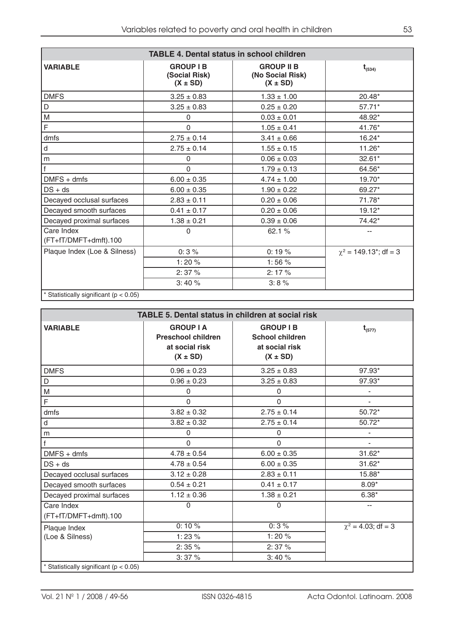| <b>TABLE 4. Dental status in school children</b> |                                                   |                                                       |                                         |
|--------------------------------------------------|---------------------------------------------------|-------------------------------------------------------|-----------------------------------------|
| <b>VARIABLE</b>                                  | <b>GROUP I B</b><br>(Social Risk)<br>$(X \pm SD)$ | <b>GROUP II B</b><br>(No Social Risk)<br>$(X \pm SD)$ | $t_{(534)}$                             |
| <b>DMFS</b>                                      | $3.25 \pm 0.83$                                   | $1.33 \pm 1.00$                                       | 20.48*                                  |
| D                                                | $3.25 \pm 0.83$                                   | $0.25 \pm 0.20$                                       | 57.71*                                  |
| M                                                | $\Omega$                                          | $0.03 \pm 0.01$                                       | 48.92*                                  |
| F                                                | 0                                                 | $1.05 \pm 0.41$                                       | 41.76*                                  |
| dmfs                                             | $2.75 \pm 0.14$                                   | $3.41 \pm 0.66$                                       | 16.24*                                  |
| d                                                | $2.75 \pm 0.14$                                   | $1.55 \pm 0.15$                                       | $11.26*$                                |
| m                                                | $\Omega$                                          | $0.06 \pm 0.03$                                       | 32.61*                                  |
| f                                                | $\mathbf{0}$                                      | $1.79 \pm 0.13$                                       | 64.56*                                  |
| $DMFS + dms$                                     | $6.00 \pm 0.35$                                   | $4.74 \pm 1.00$                                       | $19.70*$                                |
| $DS + ds$                                        | $6.00 \pm 0.35$                                   | $1.90 \pm 0.22$                                       | 69.27*                                  |
| Decayed occlusal surfaces                        | $2.83 \pm 0.11$                                   | $0.20 \pm 0.06$                                       | 71.78*                                  |
| Decayed smooth surfaces                          | $0.41 \pm 0.17$                                   | $0.20 \pm 0.06$                                       | $19.12*$                                |
| Decayed proximal surfaces                        | $1.38 \pm 0.21$                                   | $0.39 \pm 0.06$                                       | 74.42*                                  |
| Care Index<br>(FT+fT/DMFT+dmft).100              | $\Omega$                                          | 62.1 %                                                | --                                      |
| Plaque Index (Loe & Silness)                     | 0:3%                                              | 0:19%                                                 | $\chi^2$ = 149.13 <sup>*</sup> ; df = 3 |
|                                                  | 1:20%                                             | 1:56%                                                 |                                         |
|                                                  | 2:37%                                             | 2:17%                                                 |                                         |
|                                                  | 3:40%                                             | 3:8%                                                  |                                         |
| * Statistically significant ( $p < 0.05$ )       |                                                   |                                                       |                                         |

| <b>TABLE 5. Dental status in children at social risk</b> |                                                                                 |                                                                              |                          |
|----------------------------------------------------------|---------------------------------------------------------------------------------|------------------------------------------------------------------------------|--------------------------|
| <b>VARIABLE</b>                                          | <b>GROUP I A</b><br><b>Preschool children</b><br>at social risk<br>$(X \pm SD)$ | <b>GROUP I B</b><br><b>School children</b><br>at social risk<br>$(X \pm SD)$ | $t_{(577)}$              |
| <b>DMFS</b>                                              | $0.96 \pm 0.23$                                                                 | $3.25 \pm 0.83$                                                              | 97.93*                   |
| D                                                        | $0.96 \pm 0.23$                                                                 | $3.25 \pm 0.83$                                                              | 97.93*                   |
| M                                                        | 0                                                                               | $\Omega$                                                                     |                          |
| F                                                        | $\Omega$                                                                        | $\Omega$                                                                     |                          |
| dmfs                                                     | $3.82 \pm 0.32$                                                                 | $2.75 \pm 0.14$                                                              | 50.72*                   |
| $\sf d$                                                  | $3.82 \pm 0.32$                                                                 | $2.75 \pm 0.14$                                                              | $50.72*$                 |
| m                                                        | $\Omega$                                                                        | $\Omega$                                                                     |                          |
| $\mathsf{f}$                                             | $\Omega$                                                                        | $\Omega$                                                                     | $\overline{\phantom{a}}$ |
| $DMFS + dms$                                             | $4.78 \pm 0.54$                                                                 | $6.00 \pm 0.35$                                                              | $31.62*$                 |
| $DS + ds$                                                | $4.78 \pm 0.54$                                                                 | $6.00 \pm 0.35$                                                              | $31.62*$                 |
| Decayed occlusal surfaces                                | $3.12 \pm 0.28$                                                                 | $2.83 \pm 0.11$                                                              | 15.88*                   |
| Decayed smooth surfaces                                  | $0.54 \pm 0.21$                                                                 | $0.41 \pm 0.17$                                                              | $8.09*$                  |
| Decayed proximal surfaces                                | $1.12 \pm 0.36$                                                                 | $1.38 \pm 0.21$                                                              | $6.38*$                  |
| Care Index<br>(FT+fT/DMFT+dmft).100                      | $\Omega$                                                                        | 0                                                                            | --                       |
| Plaque Index                                             | 0:10%                                                                           | 0:3%                                                                         | $\chi^2 = 4.03$ ; df = 3 |
| (Loe & Silness)                                          | 1:23%                                                                           | 1:20%                                                                        |                          |
|                                                          | 2:35%                                                                           | 2:37%                                                                        |                          |
|                                                          | 3:37%                                                                           | 3:40%                                                                        |                          |
| * Statistically significant ( $p < 0.05$ )               |                                                                                 |                                                                              |                          |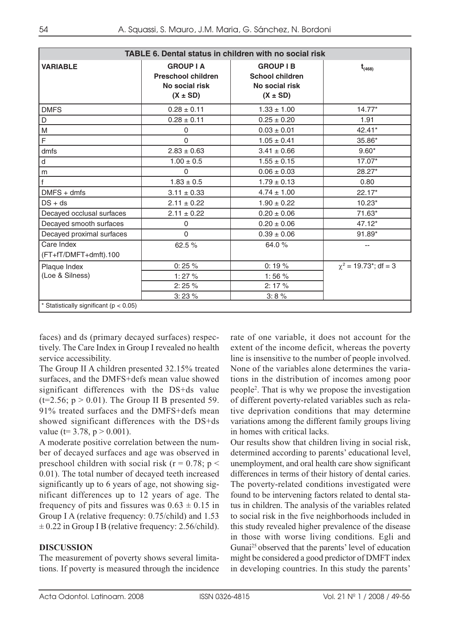| TABLE 6. Dental status in children with no social risk |                                                                                 |                                                                              |                                        |
|--------------------------------------------------------|---------------------------------------------------------------------------------|------------------------------------------------------------------------------|----------------------------------------|
| <b>VARIABLE</b>                                        | <b>GROUP I A</b><br><b>Preschool children</b><br>No social risk<br>$(X \pm SD)$ | <b>GROUP I B</b><br><b>School children</b><br>No social risk<br>$(X \pm SD)$ | $t_{(468)}$                            |
| <b>DMFS</b>                                            | $0.28 \pm 0.11$                                                                 | $1.33 \pm 1.00$                                                              | $14.77*$                               |
| D                                                      | $0.28 \pm 0.11$                                                                 | $0.25 \pm 0.20$                                                              | 1.91                                   |
| M                                                      | 0                                                                               | $0.03 \pm 0.01$                                                              | 42.41*                                 |
| F                                                      | 0                                                                               | $1.05 \pm 0.41$                                                              | 35.86*                                 |
| dmfs                                                   | $2.83 \pm 0.63$                                                                 | $3.41 \pm 0.66$                                                              | $9.60*$                                |
| ${\sf d}$                                              | $1.00 \pm 0.5$                                                                  | $1.55 \pm 0.15$                                                              | $17.07*$                               |
| m                                                      | 0                                                                               | $0.06 \pm 0.03$                                                              | 28.27*                                 |
| $\mathsf f$                                            | $1.83 \pm 0.5$                                                                  | $1.79 \pm 0.13$                                                              | 0.80                                   |
| $DMFS + dms$                                           | $3.11 \pm 0.33$                                                                 | $4.74 \pm 1.00$                                                              | $22.17*$                               |
| $DS + ds$                                              | $2.11 \pm 0.22$                                                                 | $1.90 \pm 0.22$                                                              | $10.23*$                               |
| Decayed occlusal surfaces                              | $2.11 \pm 0.22$                                                                 | $0.20 \pm 0.06$                                                              | 71.63*                                 |
| Decayed smooth surfaces                                | 0                                                                               | $0.20 \pm 0.06$                                                              | $47.12*$                               |
| Decayed proximal surfaces                              | $\Omega$                                                                        | $0.39 \pm 0.06$                                                              | 91.89*                                 |
| Care Index<br>(FT+fT/DMFT+dmft).100                    | 62.5 %                                                                          | 64.0%                                                                        | $-$                                    |
| Plaque Index                                           | 0:25%                                                                           | 0:19%                                                                        | $\chi^2$ = 19.73 <sup>*</sup> ; df = 3 |
| (Loe & Silness)                                        | 1:27%                                                                           | 1:56%                                                                        |                                        |
|                                                        | 2:25%                                                                           | 2:17%                                                                        |                                        |
|                                                        | 3:23%                                                                           | 3:8%                                                                         |                                        |
| * Statistically significant ( $p < 0.05$ )             |                                                                                 |                                                                              |                                        |

faces) and ds (primary decayed surfaces) respectively. The Care Index in Group I revealed no health service accessibility.

The Group II A children presented 32.15% treated surfaces, and the DMFS+defs mean value showed significant differences with the DS+ds value ( $t=2.56$ ;  $p > 0.01$ ). The Group II B presented 59. 91% treated surfaces and the DMFS+defs mean showed significant differences with the DS+ds value ( $t= 3.78$ ,  $p > 0.001$ ).

A moderate positive correlation between the number of decayed surfaces and age was observed in preschool children with social risk ( $r = 0.78$ ;  $p <$ 0.01). The total number of decayed teeth increased significantly up to 6 years of age, not showing significant differences up to 12 years of age. The frequency of pits and fissures was  $0.63 \pm 0.15$  in Group I A (relative frequency: 0.75/child) and 1.53  $\pm$  0.22 in Group I B (relative frequency: 2.56/child).

### **DISCUSSION**

The measurement of poverty shows several limitations. If poverty is measured through the incidence rate of one variable, it does not account for the extent of the income deficit, whereas the poverty line is insensitive to the number of people involved. None of the variables alone determines the variations in the distribution of incomes among poor people2. That is why we propose the investigation of different poverty-related variables such as relative deprivation conditions that may determine variations among the different family groups living in homes with critical lacks.

Our results show that children living in social risk, determined according to parents' educational level, unemployment, and oral health care show significant differences in terms of their history of dental caries. The poverty-related conditions investigated were found to be intervening factors related to dental status in children. The analysis of the variables related to social risk in the five neighborhoods included in this study revealed higher prevalence of the disease in those with worse living conditions. Egli and Gunai25 observed that the parents' level of education might be considered a good predictor of DMFT index in developing countries. In this study the parents'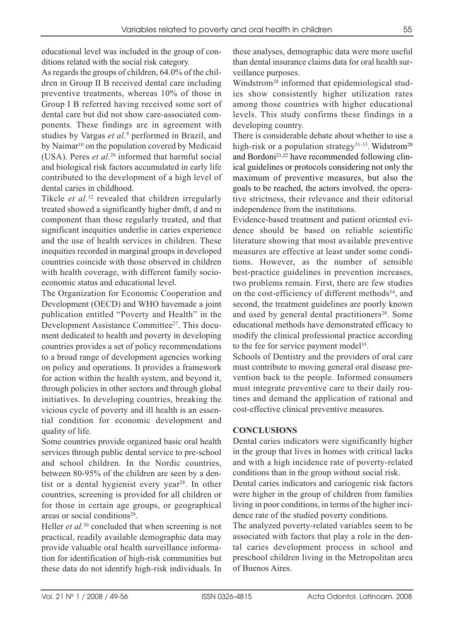educational level was included in the group of conditions related with the social risk category.

As regards the groups of children, 64.0% of the children in Group II B received dental care including preventive treatments, whereas 10% of those in Group I B referred having received some sort of dental care but did not show care-associated components. These findings are in agreement with studies by Vargas *et al.*<sup>9</sup> performed in Brazil, and by Naimar<sup>10</sup> on the population covered by Medicaid (USA). Peres *et al.*<sup>26</sup> informed that harmful social and biological risk factors accumulated in early life contributed to the development of a high level of dental caries in childhood.

Tikcle *et al.*<sup>12</sup> revealed that children irregularly treated showed a significantly higher dmft, d and m component than those regularly treated, and that significant inequities underlie in caries experience and the use of health services in children. These inequities recorded in marginal groups in developed countries coincide with those observed in children with health coverage, with different family socioeconomic status and educational level.

The Organization for Economic Cooperation and Development (OECD) and WHO havemade a joint publication entitled "Poverty and Health" in the Development Assistance Committee<sup>27</sup>. This document dedicated to health and poverty in developing countries provides a set of policy recommendations to a broad range of development agencies working on policy and operations. It provides a framework for action within the health system, and beyond it, through policies in other sectors and through global initiatives. In developing countries, breaking the vicious cycle of poverty and ill health is an essential condition for economic development and quality of life.

Some countries provide organized basic oral health services through public dental service to pre-school and school children. In the Nordic countries, between 80-95% of the children are seen by a dentist or a dental hygienist every year<sup>28</sup>. In other countries, screening is provided for all children or for those in certain age groups, or geographical areas or social conditions<sup>29</sup>.

Heller *et al.*<sup>30</sup> concluded that when screening is not practical, readily available demographic data may provide valuable oral health surveillance information for identification of high-risk communities but these data do not identify high-risk individuals. In these analyses, demographic data were more useful than dental insurance claims data for oral health surveillance purposes.

Windstrom28 informed that epidemiological studies show consistently higher utilization rates among those countries with higher educational levels. This study confirms these findings in a developing country.

There is considerable debate about whether to use a high-risk or a population strategy<sup>31-33</sup>. Widstrom<sup>28</sup> and Bordoni<sup>21,22</sup> have recommended following clinical guidelines or protocols considering not only the maximum of preventive measures, but also the goals to be reached, the actors involved, the operative strictness, their relevance and their editorial independence from the institutions.

Evidence-based treatment and patient oriented evidence should be based on reliable scientific literature showing that most available preventive measures are effective at least under some conditions. However, as the number of sensible best-practice guidelines in prevention increases, two problems remain. First, there are few studies on the cost-efficiency of different methods<sup>34</sup>, and second, the treatment guidelines are poorly known and used by general dental practitioners<sup>28</sup>. Some educational methods have demonstrated efficacy to modify the clinical professional practice according to the fee for service payment model<sup>35</sup>.

Schools of Dentistry and the providers of oral care must contribute to moving general oral disease prevention back to the people. Informed consumers must integrate preventive care to their daily routines and demand the application of rational and cost-effective clinical preventive measures.

### **CONCLUSIONS**

Dental caries indicators were significantly higher in the group that lives in homes with critical lacks and with a high incidence rate of poverty-related conditions than in the group without social risk.

Dental caries indicators and cariogenic risk factors were higher in the group of children from families living in poor conditions, in terms of the higher incidence rate of the studied poverty conditions.

The analyzed poverty-related variables seem to be associated with factors that play a role in the dental caries development process in school and preschool children living in the Metropolitan area of Buenos Aires.